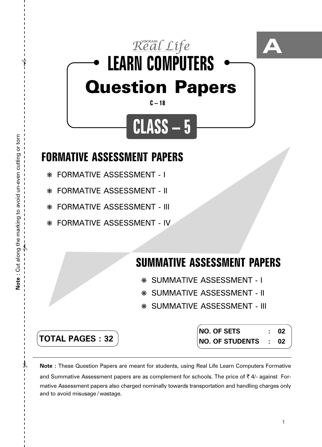

- ❋ FORMATIVE ASSESSMENT I
- ❋ FORMATIVE ASSESSMENT II
- ❋ FORMATIVE ASSESSMENT III
- ❋ FORMATIVE ASSESSMENT IV

## **SUMMATIVE ASSESSMENT PAPERS**

- ❋ SUMMATIVE ASSESSMENT I
- ❋ SUMMATIVE ASSESSMENT II
- ❋ SUMMATIVE ASSESSMENT III

**TOTAL PAGES : 32**

**NO. OF SETS : 02 NO. OF STUDENTS : 02**

**Note :** These Question Papers are meant for students, using Real Life Learn Computers Formative and Summative Assessment papers are as complement for schools. The price of  $\bar{\tau}$  4/- against Formative Assessment papers also charged nominally towards transportation and handling charges only and to avoid misusage / wastage.

 $\lambda$ 

✃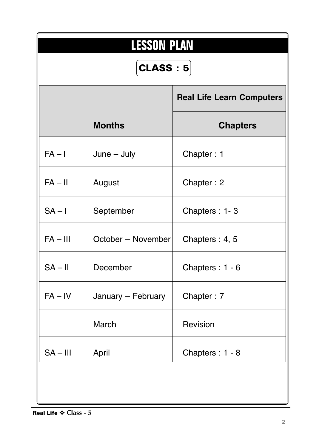| <b>LESSON PLAN</b><br><b>CLASS: 5</b> |                    |                                  |  |  |  |  |  |  |  |
|---------------------------------------|--------------------|----------------------------------|--|--|--|--|--|--|--|
|                                       |                    | <b>Real Life Learn Computers</b> |  |  |  |  |  |  |  |
|                                       | <b>Months</b>      | <b>Chapters</b>                  |  |  |  |  |  |  |  |
| $FA - I$                              | $June - July$      | Chapter: 1                       |  |  |  |  |  |  |  |
| $FA - II$                             | August             | Chapter: 2                       |  |  |  |  |  |  |  |
| $SA - I$                              | September          | Chapters: 1-3                    |  |  |  |  |  |  |  |
| $FA - III$                            | October - November | Chapters: 4, 5                   |  |  |  |  |  |  |  |
| $SA - II$                             | December           | Chapters: 1 - 6                  |  |  |  |  |  |  |  |
| $FA - IV$                             | January - February | Chapter: 7                       |  |  |  |  |  |  |  |
|                                       | March              | Revision                         |  |  |  |  |  |  |  |
| $SA - III$                            | April              | Chapters: 1 - 8                  |  |  |  |  |  |  |  |
|                                       |                    |                                  |  |  |  |  |  |  |  |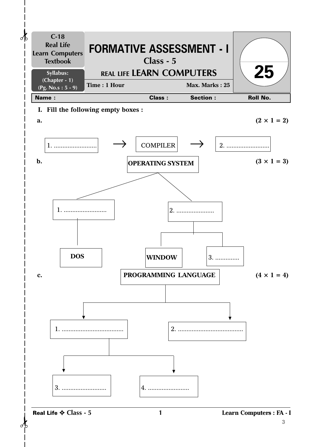

Real Life ✧ **Class - 5**

**1 Learn Computers : FA - I**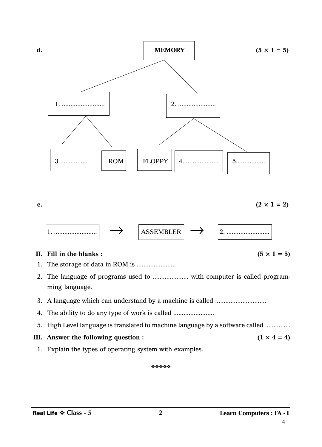

**e.**  $(2 \times 1 = 2)$  $\boxed{\leftarrow}$   $\boxed{\text{ASSEMBLER}}$   $\rightarrow$   $\boxed{\leftarrow}$   $\boxed{\leftarrow}$ 

## **II.** Fill in the blanks:  $(5 \times 1 = 5)$

- 1. The storage of data in ROM is .......................
- 2. The language of programs used to ..................... with computer is called programming language.
- 3. A language which can understand by a machine is called ..............................
- 4. The ability to do any type of work is called ................................
- 5. High Level language is translated to machine language by a software called ...............
- **III.** Answer the following question :  $(1 \times 4 = 4)$ 
	- 1. Explain the types of operating system with examples.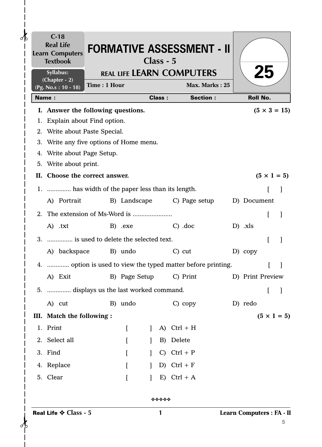|              | $C-18$<br><b>Real Life</b><br><b>Learn Computers</b><br><b>Textbook</b> |              |          | Class - 5    |               | <b>FORMATIVE ASSESSMENT - II</b>                             |                           |                     |   |
|--------------|-------------------------------------------------------------------------|--------------|----------|--------------|---------------|--------------------------------------------------------------|---------------------------|---------------------|---|
|              | Syllabus:<br>(Chapter - 2)                                              |              |          |              |               | <b>REAL LIFE LEARN COMPUTERS</b>                             |                           | 25                  |   |
|              | (Pg. No.s: 10 - 18)                                                     | Time: 1 Hour |          |              |               | Max. Marks: 25                                               |                           |                     |   |
| <b>Name:</b> |                                                                         |              |          |              | <b>Class:</b> | <b>Section:</b>                                              | <b>Roll No.</b>           |                     |   |
|              | I. Answer the following questions.                                      |              |          |              |               |                                                              |                           | $(5 \times 3 = 15)$ |   |
|              | 1. Explain about Find option.                                           |              |          |              |               |                                                              |                           |                     |   |
|              | 2. Write about Paste Special.                                           |              |          |              |               |                                                              |                           |                     |   |
|              | 3. Write any five options of Home menu.                                 |              |          |              |               |                                                              |                           |                     |   |
|              | 4. Write about Page Setup.                                              |              |          |              |               |                                                              |                           |                     |   |
|              | 5. Write about print.                                                   |              |          |              |               |                                                              |                           |                     |   |
|              | II. Choose the correct answer.                                          |              |          |              |               |                                                              |                           | $(5 \times 1 = 5)$  |   |
|              | 1.  has width of the paper less than its length.                        |              |          |              |               |                                                              |                           |                     |   |
|              | A) Portrait                                                             |              |          |              |               | B) Landscape C) Page setup                                   | D) Document               |                     |   |
|              |                                                                         |              |          |              |               |                                                              |                           | L                   |   |
|              | A) .txt                                                                 |              | B) .exe  |              |               | $C)$ .doc                                                    | $D)$ .xls                 |                     |   |
|              | 3.  is used to delete the selected text.                                |              |          |              |               |                                                              |                           | ſ                   |   |
|              | A) backspace B) undo                                                    |              |          |              |               | $C)$ cut                                                     | D) copy                   |                     |   |
|              |                                                                         |              |          |              |               |                                                              |                           |                     |   |
|              |                                                                         |              |          |              |               | 4.  option is used to view the typed matter before printing. |                           |                     |   |
|              |                                                                         |              |          |              |               | A) Exit B) Page Setup C) Print D) Print Preview              |                           |                     |   |
|              | 5.  displays us the last worked command.                                |              |          |              |               |                                                              |                           | t                   |   |
|              | A) cut                                                                  |              | B) undo  |              |               | $C)$ copy                                                    | D) redo                   |                     |   |
|              | III. Match the following :                                              |              |          |              |               |                                                              |                           | $(5 \times 1 = 5)$  |   |
|              | 1. Print                                                                |              | $\lceil$ |              | A)            | $Ctrl + H$                                                   |                           |                     |   |
|              | 2. Select all                                                           |              |          |              | B)            | Delete                                                       |                           |                     |   |
|              | 3. Find                                                                 |              | $\lceil$ |              | $\mathcal{C}$ | $Ctrl + P$                                                   |                           |                     |   |
|              | 4. Replace                                                              |              | $\lceil$ |              |               | D) Ctrl + $F$                                                |                           |                     |   |
|              |                                                                         |              |          | $\mathbf{I}$ |               |                                                              |                           |                     |   |
|              | 5. Clear                                                                |              | $\lceil$ |              | E)            | $Ctrl + A$                                                   |                           |                     |   |
|              |                                                                         |              |          |              | *****         |                                                              |                           |                     |   |
|              | Real Life $\diamondsuit$ Class - 5                                      |              |          |              | 1             |                                                              | Learn Computers : FA - II |                     | 5 |

 $\overline{\phantom{a}}$  $\mathsf{l}$  $\overline{\phantom{a}}$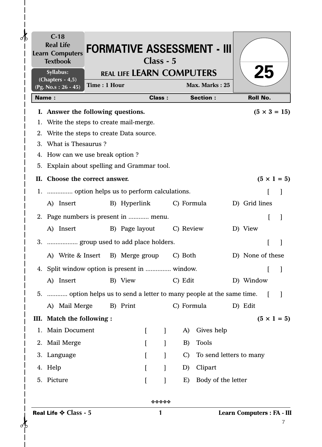|              | $C-18$<br><b>Real Life</b><br><b>Learn Computers</b><br><b>Textbook</b> |              |              |   | Class - 5     |               | <b>FORMATIVE ASSESSMENT - III</b> |                            |    |                     |
|--------------|-------------------------------------------------------------------------|--------------|--------------|---|---------------|---------------|-----------------------------------|----------------------------|----|---------------------|
|              | Syllabus:                                                               |              |              |   |               |               | <b>REAL LIFE LEARN COMPUTERS</b>  |                            | 25 |                     |
|              | $(Chapters - 4, 5)$<br>$(Pg. No.s: 26 - 45)$                            | Time: 1 Hour |              |   |               |               | Max. Marks: 25                    |                            |    |                     |
| <b>Name:</b> |                                                                         |              |              |   | <b>Class:</b> |               | <b>Section:</b>                   | <b>Roll No.</b>            |    |                     |
|              | I. Answer the following questions.                                      |              |              |   |               |               |                                   |                            |    | $(5 \times 3 = 15)$ |
|              | 1. Write the steps to create mail-merge.                                |              |              |   |               |               |                                   |                            |    |                     |
|              | 2. Write the steps to create Data source.                               |              |              |   |               |               |                                   |                            |    |                     |
|              | 3. What is Thesaurus?                                                   |              |              |   |               |               |                                   |                            |    |                     |
|              | 4. How can we use break option?                                         |              |              |   |               |               |                                   |                            |    |                     |
|              | 5. Explain about spelling and Grammar tool.                             |              |              |   |               |               |                                   |                            |    |                     |
|              | II. Choose the correct answer.                                          |              |              |   |               |               |                                   |                            |    | $(5 \times 1 = 5)$  |
|              | 1.  option helps us to perform calculations.                            |              |              |   |               |               |                                   |                            |    |                     |
|              | A) Insert                                                               |              | B) Hyperlink |   |               |               | C) Formula                        | D) Grid lines              |    |                     |
|              | 2. Page numbers is present in  menu.                                    |              |              |   |               |               |                                   |                            | L  |                     |
|              | A) Insert B) Page layout                                                |              |              |   |               |               | C) Review                         | D) View                    |    |                     |
|              | 3.  group used to add place holders.                                    |              |              |   |               |               |                                   |                            |    |                     |
|              |                                                                         |              |              |   |               |               |                                   |                            |    |                     |
|              | A) Write & Insert B) Merge group C) Both                                |              |              |   |               |               |                                   | D) None of these           |    |                     |
|              | 4. Split window option is present in  window.                           |              |              |   |               |               |                                   |                            |    |                     |
|              | A) Insert                                                               |              | B) View      |   |               | C) Edit       |                                   | D) Window                  |    |                     |
|              | 5.  option helps us to send a letter to many people at the same time.   |              |              |   |               |               |                                   |                            |    |                     |
|              | A) Mail Merge                                                           |              | B) Print     |   |               |               | C) Formula                        | D) Edit                    |    |                     |
|              | III. Match the following :                                              |              |              |   |               |               |                                   |                            |    | $(5 \times 1 = 5)$  |
|              | 1. Main Document                                                        |              |              | L | $\mathbf{I}$  | A)            | Gives help                        |                            |    |                     |
|              | 2. Mail Merge                                                           |              |              |   |               | B)            | <b>Tools</b>                      |                            |    |                     |
|              | 3. Language                                                             |              |              |   |               | $\mathcal{C}$ | To send letters to many           |                            |    |                     |
|              | 4. Help                                                                 |              |              |   |               | D)            | Clipart                           |                            |    |                     |
|              | 5. Picture                                                              |              |              |   |               | E)            | Body of the letter                |                            |    |                     |
|              |                                                                         |              |              |   | *****         |               |                                   |                            |    |                     |
|              | Real Life $\diamondsuit$ Class - 5                                      |              |              |   | 1             |               |                                   | Learn Computers : FA - III |    | 7                   |

 $\frac{1}{\sqrt{2}}$ 

 $\overline{\phantom{a}}$ 

 $\mathbf{I}$  $\begin{array}{c} \hline \end{array}$  $\mathbf{I}$  $\mathsf{l}$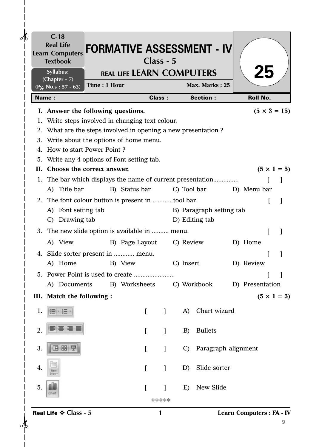| <b>Real Life</b><br><b>Learn Computers</b><br><b>Textbook</b> |              |                                  | Class - 5     |               | <b>FORMATIVE ASSESSMENT - IV</b> |                                  |                     |   |
|---------------------------------------------------------------|--------------|----------------------------------|---------------|---------------|----------------------------------|----------------------------------|---------------------|---|
| Syllabus:                                                     |              | <b>REAL LIFE LEARN COMPUTERS</b> |               |               |                                  |                                  | <b>25</b>           |   |
| $(Chapter - 7)$<br>(Pg. No.s: $57 - 63$ )                     | Time: 1 Hour |                                  |               |               | Max. Marks: 25                   |                                  |                     |   |
| <b>Name:</b>                                                  |              |                                  | <b>Class:</b> |               | <b>Section:</b>                  |                                  | <b>Roll No.</b>     |   |
| I. Answer the following questions.                            |              |                                  |               |               |                                  |                                  | $(5 \times 3 = 15)$ |   |
| 1. Write steps involved in changing text colour.              |              |                                  |               |               |                                  |                                  |                     |   |
| 2. What are the steps involved in opening a new presentation? |              |                                  |               |               |                                  |                                  |                     |   |
| 3. Write about the options of home menu.                      |              |                                  |               |               |                                  |                                  |                     |   |
| 4. How to start Power Point?                                  |              |                                  |               |               |                                  |                                  |                     |   |
| 5. Write any 4 options of Font setting tab.                   |              |                                  |               |               |                                  |                                  |                     |   |
| Choose the correct answer.<br>П. –                            |              |                                  |               |               |                                  |                                  | $(5 \times 1 = 5)$  |   |
| 1. The bar which displays the name of current presentation    |              |                                  |               |               |                                  |                                  |                     |   |
| A) Title bar                                                  |              | B) Status bar                    |               | C) Tool bar   |                                  | D) Menu bar                      |                     |   |
| 2. The font colour button is present in  tool bar.            |              |                                  |               |               |                                  |                                  |                     |   |
| Font setting tab<br>A)                                        |              |                                  |               |               | B) Paragraph setting tab         |                                  |                     |   |
| Drawing tab<br>$\mathcal{C}$                                  |              |                                  |               |               | D) Editing tab                   |                                  |                     |   |
| 3. The new slide option is available in  menu.                |              |                                  |               |               |                                  |                                  |                     |   |
| A) View                                                       |              | B) Page Layout                   |               | C) Review     |                                  | D) Home                          |                     |   |
| 4. Slide sorter present in  menu.                             |              |                                  |               |               |                                  |                                  |                     |   |
| A) Home                                                       |              | B) View                          |               | C) Insert     |                                  | D) Review                        |                     |   |
|                                                               |              |                                  |               |               |                                  |                                  |                     |   |
| A) Documents B) Worksheets                                    |              |                                  |               |               | C) Workbook                      | D) Presentation                  |                     |   |
| III. Match the following :                                    |              |                                  |               |               |                                  |                                  | $(5 \times 1 = 5)$  |   |
|                                                               |              |                                  |               |               | Chart wizard                     |                                  |                     |   |
| 1.                                                            |              | $\Gamma$                         | $\mathbf{I}$  | A)            |                                  |                                  |                     |   |
| 2.                                                            |              | $\Gamma$                         | 1             | B)            | <b>Bullets</b>                   |                                  |                     |   |
|                                                               |              |                                  |               |               |                                  |                                  |                     |   |
| 3.<br>日器                                                      |              | $\Gamma$                         | $\mathbf{I}$  | $\mathcal{C}$ | Paragraph alignment              |                                  |                     |   |
|                                                               |              |                                  |               |               |                                  |                                  |                     |   |
| 4.                                                            |              | $\lceil$                         | $\mathbf{I}$  | D)            | Slide sorter                     |                                  |                     |   |
|                                                               |              |                                  |               |               |                                  |                                  |                     |   |
| 5.<br>Chart                                                   |              |                                  |               | E)            | New Slide                        |                                  |                     |   |
|                                                               |              |                                  | *****         |               |                                  |                                  |                     |   |
| Real Life $\diamond$ Class - 5                                |              |                                  | 1             |               |                                  | <b>Learn Computers : FA - IV</b> |                     |   |
|                                                               |              |                                  |               |               |                                  |                                  |                     | 9 |

 $\frac{1}{\sqrt{2}}$ 

 $\mathbf{I}$  $\overline{\phantom{a}}$  $\mathbf{I}$  $\overline{\phantom{a}}$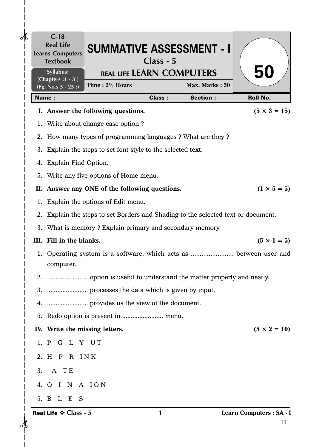| $\delta$ | $C-18$<br><b>Real Life</b><br><b>Learns Computers</b><br><b>Textbook</b> | <b>SUMMATIVE ASSESSMENT - I</b>                                                   | Class - 5     |                 |                                |
|----------|--------------------------------------------------------------------------|-----------------------------------------------------------------------------------|---------------|-----------------|--------------------------------|
|          | Syllabus:<br>(Chapters: 1 - 3)                                           | <b>REAL LIFE LEARN COMPUTERS</b><br>Time: $2\frac{1}{2}$ Hours                    |               | Max. Marks: 50  | <b>50</b>                      |
|          | (Pg. No.s $5 - 25$ :)<br><b>Name:</b>                                    |                                                                                   | <b>Class:</b> | <b>Section:</b> | <b>Roll No.</b>                |
|          |                                                                          | I. Answer the following questions.                                                |               |                 | $(5 \times 3 = 15)$            |
|          |                                                                          | 1. Write about change case option ?                                               |               |                 |                                |
|          |                                                                          | 2. How many types of programming languages ? What are they ?                      |               |                 |                                |
|          |                                                                          | 3. Explain the steps to set font style to the selected text.                      |               |                 |                                |
|          | 4. Explain Find Option.                                                  |                                                                                   |               |                 |                                |
|          |                                                                          | 5. Write any five options of Home menu.                                           |               |                 |                                |
|          |                                                                          | II. Answer any ONE of the following questions.                                    |               |                 | $(1 \times 5 = 5)$             |
|          |                                                                          | 1. Explain the options of Edit menu.                                              |               |                 |                                |
|          |                                                                          | 2. Explain the steps to set Borders and Shading to the selected text or document. |               |                 |                                |
|          |                                                                          | 3. What is memory ? Explain primary and secondary memory.                         |               |                 |                                |
|          | III. Fill in the blanks.                                                 |                                                                                   |               |                 | $(5 \times 1 = 5)$             |
|          | computer.                                                                | 1. Operating system is a software, which acts as  between user and                |               |                 |                                |
| 2.       |                                                                          |                                                                                   |               |                 |                                |
|          |                                                                          |                                                                                   |               |                 |                                |
|          |                                                                          |                                                                                   |               |                 |                                |
|          |                                                                          |                                                                                   |               |                 |                                |
|          | IV. Write the missing letters.                                           |                                                                                   |               |                 | $(5 \times 2 = 10)$            |
|          | 1. $P_G_L_T_T$                                                           |                                                                                   |               |                 |                                |
|          | 2. H $_P_R$ $_R$ INK                                                     |                                                                                   |               |                 |                                |
|          | 3. $A$ <sup>TE</sup>                                                     |                                                                                   |               |                 |                                |
|          | 4. $O I_N_A_A$ ION                                                       |                                                                                   |               |                 |                                |
|          | 5. $B_L_E_S$                                                             |                                                                                   |               |                 |                                |
|          | Real Life $\diamondsuit$ Class - 5                                       |                                                                                   | 1             |                 | Learn Computers : SA - I<br>11 |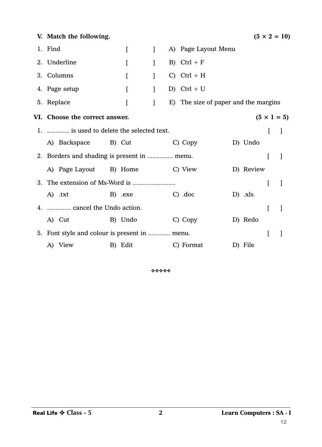| V. Match the following.                              |                                |              |  |                                      |  |           |                | $(5 \times 2 = 10)$ |  |  |
|------------------------------------------------------|--------------------------------|--------------|--|--------------------------------------|--|-----------|----------------|---------------------|--|--|
| 1. Find                                              | $\Gamma$                       | $\mathbf{1}$ |  | A) Page Layout Menu                  |  |           |                |                     |  |  |
| 2. Underline                                         | $\overline{[}$                 | $\mathbf{I}$ |  | B) $Ctrl + F$                        |  |           |                |                     |  |  |
| 3. Columns                                           | $\mathsf{L}$                   | $\mathbf{I}$ |  | $C)$ Ctrl + H                        |  |           |                |                     |  |  |
| 4. Page setup                                        | [                              | $\mathbf{I}$ |  | D) Ctrl + U                          |  |           |                |                     |  |  |
| 5. Replace                                           | $\left[ \right]$               | $\mathbf{I}$ |  | E) The size of paper and the margins |  |           |                |                     |  |  |
| VI. Choose the correct answer.<br>$(5 \times 1 = 5)$ |                                |              |  |                                      |  |           |                |                     |  |  |
| 1.  is used to delete the selected text.             |                                |              |  |                                      |  |           |                | $\mathbf{I}$        |  |  |
|                                                      | A) Backspace B) Cut            |              |  | C) Copy                              |  | D) Undo   |                |                     |  |  |
| 2. Borders and shading is present in  menu.          |                                |              |  |                                      |  |           |                |                     |  |  |
|                                                      | A) Page Layout B) Home C) View |              |  |                                      |  | D) Review |                |                     |  |  |
|                                                      |                                |              |  |                                      |  |           | $\overline{[}$ |                     |  |  |
| A) .txt                                              | B) .exe                        |              |  | $C)$ .doc                            |  | $D)$ .xls |                |                     |  |  |
| 4.  cancel the Undo action.                          |                                |              |  |                                      |  |           | L              |                     |  |  |
| A) Cut                                               | B) Undo                        |              |  | C) Copy                              |  | D) Redo   |                |                     |  |  |
| 5. Font style and colour is present in  menu.        |                                |              |  |                                      |  |           | I              |                     |  |  |
| A) View                                              | B) Edit                        |              |  | C) Format                            |  | D) File   |                |                     |  |  |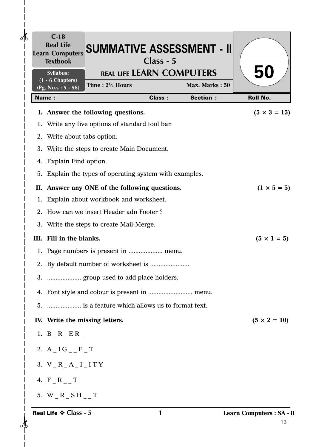| $\partial\mathbf{b}$ | $C-18$<br><b>Real Life</b><br><b>Learn Computers</b><br><b>Textbook</b> | <b>SUMMATIVE ASSESSMENT - II</b>                        | Class - 5     |                 |                                |
|----------------------|-------------------------------------------------------------------------|---------------------------------------------------------|---------------|-----------------|--------------------------------|
|                      | Syllabus:<br>$(1 - 6$ Chapters)                                         | <b>REAL LIFE LEARN COMPUTERS</b>                        |               |                 | 50                             |
|                      | (Pg. No.s: $5 - 56$ )                                                   | Time: 21/2 Hours                                        |               | Max. Marks: 50  |                                |
|                      | Name:                                                                   |                                                         | <b>Class:</b> | <b>Section:</b> | <b>Roll No.</b>                |
|                      |                                                                         | I. Answer the following questions.                      |               |                 | $(5 \times 3 = 15)$            |
|                      |                                                                         | 1. Write any five options of standard tool bar.         |               |                 |                                |
|                      | 2. Write about tabs option.                                             |                                                         |               |                 |                                |
|                      |                                                                         | 3. Write the steps to create Main Document.             |               |                 |                                |
|                      | 4. Explain Find option.                                                 |                                                         |               |                 |                                |
|                      |                                                                         | 5. Explain the types of operating system with examples. |               |                 |                                |
|                      |                                                                         | II. Answer any ONE of the following questions.          |               |                 | $(1 \times 5 = 5)$             |
| 1.                   |                                                                         | Explain about workbook and worksheet.                   |               |                 |                                |
| $2_{-}$              |                                                                         | How can we insert Header adn Footer?                    |               |                 |                                |
| 3.                   |                                                                         | Write the steps to create Mail-Merge.                   |               |                 |                                |
|                      | III. Fill in the blanks.                                                |                                                         |               |                 | $(5 \times 1 = 5)$             |
|                      |                                                                         |                                                         |               |                 |                                |
|                      |                                                                         |                                                         |               |                 |                                |
|                      |                                                                         | 3.  group used to add place holders.                    |               |                 |                                |
|                      |                                                                         |                                                         |               |                 |                                |
|                      |                                                                         | 5.  is a feature which allows us to format text.        |               |                 |                                |
|                      | IV. Write the missing letters.                                          |                                                         |               |                 | $(5 \times 2 = 10)$            |
|                      | 1. $B_R$ $E_R$                                                          |                                                         |               |                 |                                |
|                      | 2. $A$ <sub>I</sub> G <sub>_</sub> $E$ <sup>T</sup>                     |                                                         |               |                 |                                |
|                      | 3. $V_R_A_A_I_I$                                                        |                                                         |               |                 |                                |
|                      | 4. $F_R$ <sub>_</sub> T                                                 |                                                         |               |                 |                                |
|                      | 5. W R SH T                                                             |                                                         |               |                 |                                |
|                      | Real Life $\diamond$ Class - 5                                          |                                                         | 1             |                 | Learn Computers : SA - I<br>13 |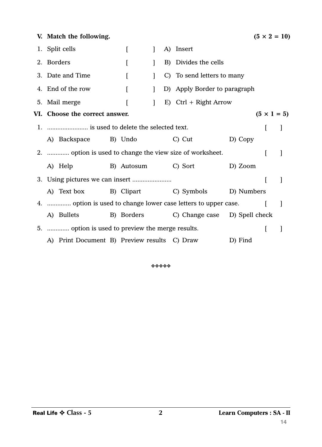| V. Match the following.                                        |  |          |              |  |                                          |         |   | $(5 \times 2 = 10)$ |  |
|----------------------------------------------------------------|--|----------|--------------|--|------------------------------------------|---------|---|---------------------|--|
| 1. Split cells                                                 |  | L        | $\mathbf{I}$ |  | A) Insert                                |         |   |                     |  |
| 2. Borders                                                     |  | $\Gamma$ | 1            |  | B) Divides the cells                     |         |   |                     |  |
| 3. Date and Time                                               |  | L        |              |  | C) To send letters to many               |         |   |                     |  |
| 4. End of the row                                              |  | L        | 1            |  | D) Apply Border to paragraph             |         |   |                     |  |
| 5. Mail merge                                                  |  |          | $\mathbf{1}$ |  | E) Ctrl + Right Arrow                    |         |   |                     |  |
| VI. Choose the correct answer.<br>$(5 \times 1 = 5)$           |  |          |              |  |                                          |         |   |                     |  |
|                                                                |  |          |              |  |                                          |         |   |                     |  |
| A) Backspace B) Undo                                           |  |          |              |  | C) Cut                                   | D) Copy |   |                     |  |
| 2.  option is used to change the view size of worksheet.       |  |          |              |  |                                          |         |   | 1                   |  |
| A) Help                                                        |  |          |              |  | B) Autosum C) Sort                       | D) Zoom |   |                     |  |
|                                                                |  |          |              |  |                                          |         | I | $\mathbf{I}$        |  |
| A) Text box B) Clipart C) Symbols D) Numbers                   |  |          |              |  |                                          |         |   |                     |  |
| 4.  option is used to change lower case letters to upper case. |  |          |              |  |                                          |         |   | 1                   |  |
| A) Bullets                                                     |  |          |              |  | B) Borders C) Change case D) Spell check |         |   |                     |  |
| 5.  option is used to preview the merge results.               |  |          |              |  |                                          |         | L |                     |  |
| A) Print Document B) Preview results C) Draw                   |  |          |              |  |                                          | D) Find |   |                     |  |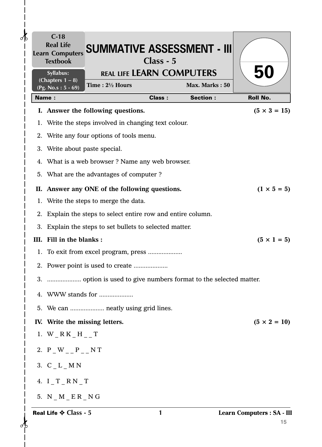| $\delta$ | $C-18$<br><b>Real Life</b><br><b>Learn Computers</b><br><b>Textbook</b> | <b>SUMMATIVE ASSESSMENT - III</b>                            | Class - 5     |                 |                                  |
|----------|-------------------------------------------------------------------------|--------------------------------------------------------------|---------------|-----------------|----------------------------------|
|          | Syllabus:                                                               | <b>REAL LIFE LEARN COMPUTERS</b>                             |               |                 | <b>50</b>                        |
|          | (Chapters $1 - 8$ )<br>(Pg. No.s: $5 - 69$ )                            | Time: 21/2 Hours                                             |               | Max. Marks: 50  |                                  |
|          | <b>Name:</b>                                                            |                                                              | <b>Class:</b> | <b>Section:</b> | <b>Roll No.</b>                  |
|          |                                                                         | I. Answer the following questions.                           |               |                 | $(5 \times 3 = 15)$              |
|          |                                                                         | 1. Write the steps involved in changing text colour.         |               |                 |                                  |
|          |                                                                         | 2. Write any four options of tools menu.                     |               |                 |                                  |
|          | 3. Write about paste special.                                           |                                                              |               |                 |                                  |
|          |                                                                         | 4. What is a web browser? Name any web browser.              |               |                 |                                  |
|          |                                                                         | 5. What are the advantages of computer?                      |               |                 |                                  |
|          |                                                                         | II. Answer any ONE of the following questions.               |               |                 | $(1 \times 5 = 5)$               |
|          |                                                                         | 1. Write the steps to merge the data.                        |               |                 |                                  |
|          |                                                                         | 2. Explain the steps to select entire row and entire column. |               |                 |                                  |
|          |                                                                         | 3. Explain the steps to set bullets to selected matter.      |               |                 |                                  |
|          | III. Fill in the blanks:                                                |                                                              |               |                 | $(5 \times 1 = 5)$               |
|          |                                                                         |                                                              |               |                 |                                  |
|          |                                                                         |                                                              |               |                 |                                  |
|          |                                                                         |                                                              |               |                 |                                  |
|          |                                                                         | 4. WWW stands for                                            |               |                 |                                  |
|          |                                                                         | 5. We can  neatly using grid lines.                          |               |                 |                                  |
|          |                                                                         | IV. Write the missing letters.                               |               |                 | $(5 \times 2 = 10)$              |
|          | 1. W $_R$ K $_H$ $_H$ $_T$                                              |                                                              |               |                 |                                  |
|          | 2. $P_{W_{--}}P_{--}N T$                                                |                                                              |               |                 |                                  |
|          | 3. $C_L_M N$                                                            |                                                              |               |                 |                                  |
|          | 4. $I_T_RN_T$                                                           |                                                              |               |                 |                                  |
|          | 5. $N_M_E_R_R_N$                                                        |                                                              |               |                 |                                  |
|          | Real Life $\diamond$ Class - 5                                          |                                                              | 1             |                 | Learn Computers : SA - III<br>15 |

 $\begin{matrix} 1 \\ 1 \\ 1 \end{matrix}$ 

 $\mathbf{I}$  $\begin{array}{c} \hline \end{array}$  $\overline{\phantom{a}}$  $\begin{array}{c} \end{array}$